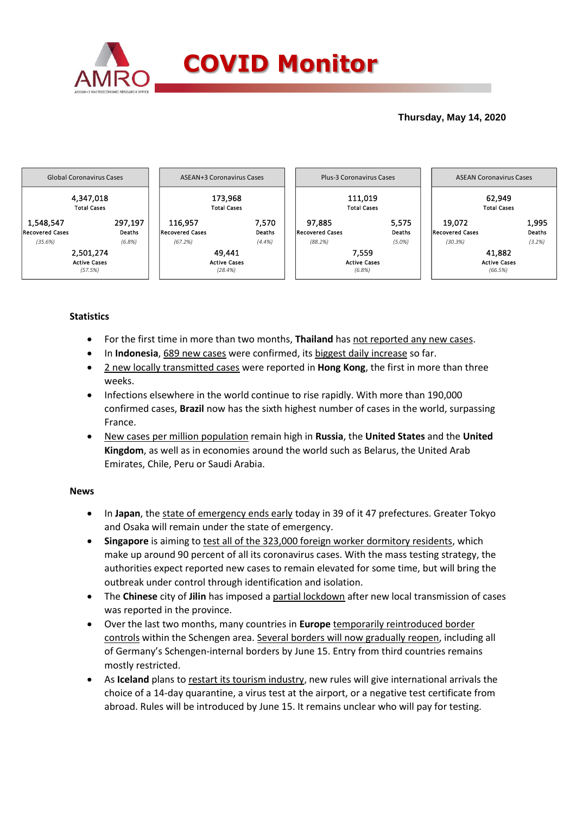

## **Thursday, May 14, 2020**



# **Statistics**

- For the first time in more than two months, **Thailand** has not reported any new cases.
- In **Indonesia**, 689 new cases were confirmed, its biggest daily increase so far.
- 2 new locally transmitted cases were reported in **Hong Kong**, the first in more than three weeks.
- Infections elsewhere in the world continue to rise rapidly. With more than 190,000 confirmed cases, **Brazil** now has the sixth highest number of cases in the world, surpassing France.
- New cases per million population remain high in **Russia**, the **United States** and the **United Kingdom**, as well as in economies around the world such as Belarus, the United Arab Emirates, Chile, Peru or Saudi Arabia.

### **News**

- In **Japan**, the state of emergency ends early today in 39 of it 47 prefectures. Greater Tokyo and Osaka will remain under the state of emergency.
- **Singapore** is aiming to test all of the 323,000 foreign worker dormitory residents, which make up around 90 percent of all its coronavirus cases. With the mass testing strategy, the authorities expect reported new cases to remain elevated for some time, but will bring the outbreak under control through identification and isolation.
- The **Chinese** city of **Jilin** has imposed a partial lockdown after new local transmission of cases was reported in the province.
- Over the last two months, many countries in **Europe** temporarily reintroduced border controls within the Schengen area. Several borders will now gradually reopen, including all of Germany's Schengen-internal borders by June 15. Entry from third countries remains mostly restricted.
- As **Iceland** plans to restart its tourism industry, new rules will give international arrivals the choice of a 14-day quarantine, a virus test at the airport, or a negative test certificate from abroad. Rules will be introduced by June 15. It remains unclear who will pay for testing.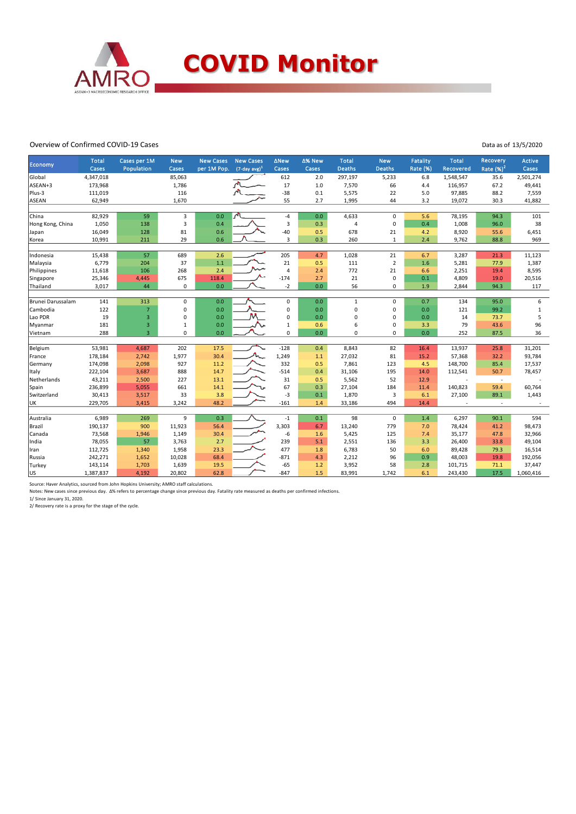

#### Overview of Confirmed COVID-19 Cases

Data as of 13/5/2020

|                   |                       |                            |                         | <b>New Cases</b> | <b>New Cases</b>            |                      |                 |                               |                      |                                    |                           | Recovery    |                 |
|-------------------|-----------------------|----------------------------|-------------------------|------------------|-----------------------------|----------------------|-----------------|-------------------------------|----------------------|------------------------------------|---------------------------|-------------|-----------------|
| Economy           | <b>Total</b><br>Cases | Cases per 1M<br>Population | <b>New</b><br>Cases     | per 1M Pop.      | $(7$ -day avg) <sup>1</sup> | <b>ANew</b><br>Cases | ∆% New<br>Cases | <b>Total</b><br><b>Deaths</b> | <b>New</b><br>Deaths | <b>Fatality</b><br><b>Rate (%)</b> | <b>Total</b><br>Recovered | Rate $(%)2$ | Active<br>Cases |
| Global            | 4,347,018             |                            | 85,063                  |                  |                             | 612                  | 2.0             | 297,197                       | 5,233                | 6.8                                | 1,548,547                 | 35.6        | 2,501,274       |
| ASEAN+3           | 173,968               |                            | 1,786                   |                  |                             | 17                   | 1.0             | 7,570                         | 66                   | 4.4                                | 116,957                   | 67.2        | 49,441          |
| Plus-3            | 111,019               |                            | 116                     |                  |                             | $-38$                | 0.1             | 5,575                         | 22                   | 5.0                                | 97,885                    | 88.2        | 7,559           |
| ASEAN             | 62,949                |                            | 1,670                   |                  |                             | 55                   | 2.7             | 1,995                         | 44                   | 3.2                                | 19,072                    | 30.3        | 41,882          |
|                   |                       |                            |                         |                  |                             |                      |                 |                               |                      |                                    |                           |             |                 |
| China             | 82,929                | 59                         | 3                       | 0.0              | $\sqrt{2}$                  | -4                   | 0.0             | 4,633                         | 0                    | 5.6                                | 78,195                    | 94.3        | 101             |
| Hong Kong, China  | 1,050                 | 138                        | $\overline{\mathbf{3}}$ | 0.4              |                             | 3                    | 0.3             | $\overline{4}$                | $\pmb{0}$            | 0.4                                | 1,008                     | 96.0        | 38              |
| Japan             | 16,049                | 128                        | 81                      | 0.6              |                             | $-40$                | 0.5             | 678                           | 21                   | 4.2                                | 8,920                     | 55.6        | 6,451           |
| Korea             | 10,991                | 211                        | 29                      | 0.6              |                             | 3                    | 0.3             | 260                           | $\mathbf{1}$         | 2.4                                | 9,762                     | 88.8        | 969             |
|                   |                       |                            |                         |                  |                             |                      |                 |                               |                      |                                    |                           |             |                 |
| Indonesia         | 15,438                | 57                         | 689                     | 2.6              |                             | 205                  | 4.7             | 1,028                         | 21                   | 6.7                                | 3,287                     | 21.3        | 11,123          |
| Malaysia          | 6,779                 | 204                        | 37                      | 1.1              |                             | 21                   | 0.5             | 111                           | $\overline{2}$       | 1.6                                | 5,281                     | 77.9        | 1,387           |
| Philippines       | 11,618                | 106                        | 268                     | 2.4              |                             | $\overline{4}$       | 2.4             | 772                           | 21                   | 6.6                                | 2,251                     | 19.4        | 8,595           |
| Singapore         | 25,346                | 4,445                      | 675                     | 118.4            |                             | $-174$               | 2.7             | 21                            | $\mathbf 0$          | 0.1                                | 4,809                     | 19.0        | 20,516          |
| Thailand          | 3,017                 | 44                         | $\pmb{0}$               | 0.0              |                             | $-2$                 | 0.0             | 56                            | 0                    | 1.9                                | 2,844                     | 94.3        | 117             |
|                   |                       |                            |                         |                  |                             |                      |                 |                               |                      |                                    |                           |             |                 |
| Brunei Darussalam | 141                   | 313                        | 0                       | 0.0              |                             | $\mathbf 0$          | 0.0             | $\mathbf{1}$                  | $\mathbf 0$          | 0.7                                | 134                       | 95.0        | 6               |
| Cambodia          | 122                   | $\overline{7}$             | 0                       | 0.0              |                             | 0                    | 0.0             | 0                             | 0                    | 0.0                                | 121                       | 99.2        | $\mathbf{1}$    |
| Lao PDR           | 19                    | 3                          | $\mathbf 0$             | 0.0              |                             | 0                    | 0.0             | 0                             | $\pmb{0}$            | 0.0                                | 14                        | 73.7        | 5               |
| Myanmar           | 181                   | 3                          | $1\,$                   | 0.0              |                             | $1\,$                | 0.6             | 6                             | 0                    | 3.3                                | 79                        | 43.6        | 96              |
| Vietnam           | 288                   | $\overline{3}$             | $\mathbf 0$             | 0.0              |                             | $\mathbf 0$          | 0.0             | $\mathbf 0$                   | $\mathbf 0$          | 0.0                                | 252                       | 87.5        | 36              |
|                   |                       |                            |                         |                  |                             |                      |                 |                               |                      |                                    |                           |             |                 |
| Belgium           | 53,981                | 4,687                      | 202                     | 17.5             |                             | $-128$               | 0.4             | 8,843                         | 82                   | 16.4                               | 13,937                    | 25.8        | 31,201          |
| France            | 178,184               | 2,742                      | 1,977                   | 30.4             |                             | 1,249                | $1.1\,$         | 27,032                        | 81                   | 15.2                               | 57,368                    | 32.2        | 93,784          |
| Germany           | 174,098               | 2,098                      | 927                     | 11.2             |                             | 332                  | 0.5             | 7,861                         | 123                  | 4.5                                | 148,700                   | 85.4        | 17,537          |
| Italy             | 222,104               | 3,687                      | 888                     | 14.7             |                             | $-514$               | 0.4             | 31,106                        | 195                  | 14.0                               | 112,541                   | 50.7        | 78,457          |
| Netherlands       | 43,211                | 2,500                      | 227                     | 13.1             |                             | 31                   | 0.5             | 5,562                         | 52                   | 12.9                               |                           | ÷.          |                 |
| Spain             | 236,899               | 5,055                      | 661                     | 14.1             |                             | 67                   | 0.3             | 27,104                        | 184                  | 11.4                               | 140,823                   | 59.4        | 60,764          |
| Switzerland       | 30,413                | 3,517                      | 33                      | 3.8              |                             | $-3$                 | 0.1             | 1,870                         | 3                    | 6.1                                | 27,100                    | 89.1        | 1,443           |
| UK                | 229,705               | 3,415                      | 3,242                   | 48.2             |                             | $-161$               | 1.4             | 33,186                        | 494                  | 14.4                               |                           | $\sim$      |                 |
|                   |                       |                            |                         |                  |                             |                      |                 |                               |                      |                                    |                           |             |                 |
| Australia         | 6,989                 | 269                        | 9                       | 0.3              |                             | $-1$                 | 0.1             | 98                            | $\mathbf 0$          | 1.4                                | 6,297                     | 90.1        | 594             |
| Brazil            | 190,137               | 900                        | 11,923                  | 56.4             |                             | 3,303                | 6.7             | 13,240                        | 779                  | 7.0                                | 78,424                    | 41.2        | 98,473          |
| Canada            | 73,568                | 1,946                      | 1,149                   | 30.4             |                             | -6                   | 1.6             | 5,425                         | 125                  | 7.4                                | 35,177                    | 47.8        | 32,966          |
| India             | 78,055                | 57                         | 3,763                   | 2.7              |                             | 239                  | 5.1             | 2,551                         | 136                  | 3.3                                | 26,400                    | 33.8        | 49,104          |
| Iran              | 112,725               | 1,340                      | 1,958                   | 23.3             |                             | 477                  | 1.8             | 6,783                         | 50                   | 6.0                                | 89,428                    | 79.3        | 16,514          |
| Russia            | 242,271               | 1,652                      | 10,028                  | 68.4             |                             | $-871$               | 4.3             | 2,212                         | 96                   | 0.9                                | 48,003                    | 19.8        | 192,056         |
| Turkey            | 143,114               | 1,703                      | 1,639                   | 19.5             |                             | $-65$                | 1.2             | 3,952                         | 58                   | 2.8                                | 101,715                   | 71.1        | 37,447          |
| US                | 1,387,837             | 4,192                      | 20,802                  | 62.8             |                             | $-847$               | 1.5             | 83,991                        | 1,742                | 6.1                                | 243,430                   | 17.5        | 1,060,416       |

Source: Haver Analytics, sourced from John Hopkins University; AMRO staff calculations.

Notes: New cases since previous day. Δ% refers to percentage change since previous day. Fatality rate measured as deaths per confirmed infections.

1/ Since January 31, 2020. 2/ Recovery rate is a proxy for the stage of the cycle.